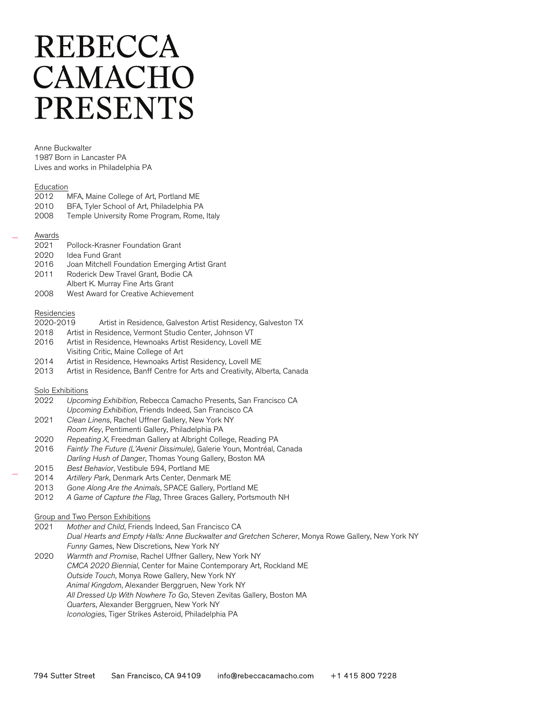# **REBECCA** CAMACHO **PRESENTS**

Anne Buckwalter 1987 Born in Lancaster PA Lives and works in Philadelphia PA

#### Education

- 2012 MFA, Maine College of Art, Portland ME
- 2010 BFA, Tyler School of Art, Philadelphia PA
- 2008 Temple University Rome Program, Rome, Italy

#### Awards

- 2021 Pollock-Krasner Foundation Grant
- 2020 Idea Fund Grant<br>2016 Joan Mitchell For
- Joan Mitchell Foundation Emerging Artist Grant
- 2011 Roderick Dew Travel Grant, Bodie CA
- Albert K. Murray Fine Arts Grant
- 2008 West Award for Creative Achievement

## Residencies

- 2020-2019 Artist in Residence, Galveston Artist Residency, Galveston TX
- 2018 Artist in Residence, Vermont Studio Center, Johnson VT
- 2016 Artist in Residence, Hewnoaks Artist Residency, Lovell ME Visiting Critic, Maine College of Art
- 2014 Artist in Residence, Hewnoaks Artist Residency, Lovell ME
- 2013 Artist in Residence, Banff Centre for Arts and Creativity, Alberta, Canada

## Solo Exhibitions

- 2022 Upcoming Exhibition, Rebecca Camacho Presents, San Francisco CA Upcoming Exhibition, Friends Indeed, San Francisco CA
- 2021 Clean Linens, Rachel Uffner Gallery, New York NY Room Key, Pentimenti Gallery, Philadelphia PA
- 2020 Repeating X, Freedman Gallery at Albright College, Reading PA
- 2016 Faintly The Future (L'Avenir Dissimule), Galerie Youn, Montréal, Canada
- Darling Hush of Danger, Thomas Young Gallery, Boston MA
- 2015 Best Behavior, Vestibule 594, Portland ME
- 2014 Artillery Park, Denmark Arts Center, Denmark ME
- 2013 Gone Along Are the Animals, SPACE Gallery, Portland ME
- 2012 A Game of Capture the Flag, Three Graces Gallery, Portsmouth NH

## Group and Two Person Exhibitions

- 2021 Mother and Child, Friends Indeed, San Francisco CA Dual Hearts and Empty Halls: Anne Buckwalter and Gretchen Scherer, Monya Rowe Gallery, New York NY Funny Games, New Discretions, New York NY
- 2020 Warmth and Promise, Rachel Uffner Gallery, New York NY CMCA 2020 Biennial, Center for Maine Contemporary Art, Rockland ME Outside Touch, Monya Rowe Gallery, New York NY Animal Kingdom, Alexander Berggruen, New York NY All Dressed Up With Nowhere To Go, Steven Zevitas Gallery, Boston MA Quarters, Alexander Berggruen, New York NY Iconologies, Tiger Strikes Asteroid, Philadelphia PA